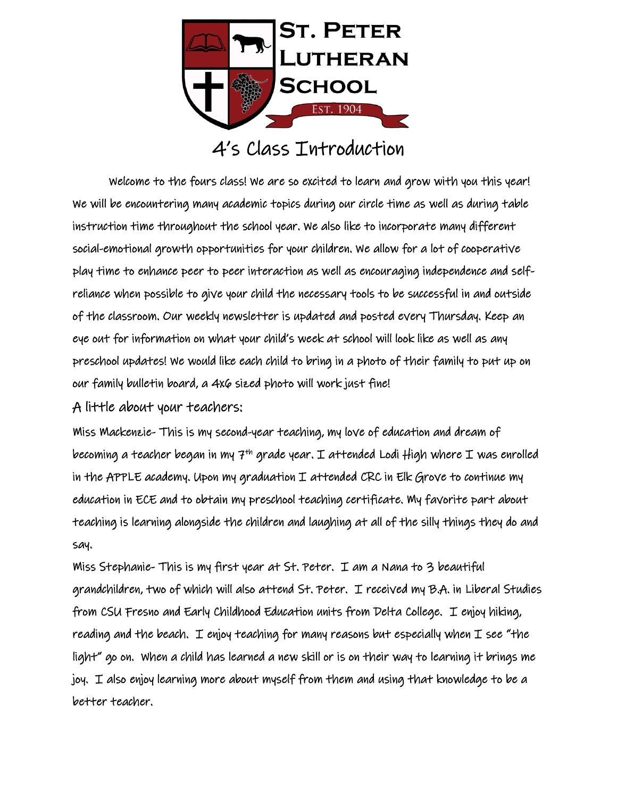

## 4's Class Introduction

 Welcome to the fours class! We are so excited to learn and grow with you this year! We will be encountering many academic topics during our circle time as well as during table instruction time throughout the school year. We also like to incorporate many different social-emotional growth opportunities for your children. We allow for a lot of cooperative play time to enhance peer to peer interaction as well as encouraging independence and selfreliance when possible to give your child the necessary tools to be successful in and outside of the classroom. Our weekly newsletter is updated and posted every Thursday. Keep an eye out for information on what your child's week at school will look like as well as any preschool updates! We would like each child to bring in a photo of their family to put up on our family bulletin board, a 4x6 sized photo will work just fine!

A little about your teachers:

Miss Mackenzie- This is my second-year teaching, my love of education and dream of becoming a teacher began in my 7<sup>th</sup> grade year. I attended Lodi High where I was enrolled in the APPLE academy. Upon my graduation  $I$  attended CRC in Elk Grove to continue my education in ECE and to obtain my preschool teaching certificate. My favorite part about teaching is learning alongside the children and laughing at all of the silly things they do and say.

Miss Stephanie- This is my first year at St. Peter. I am a Nana to 3 beautiful grandchildren, two of which will also attend St. Peter. I received my B.A. in Liberal Studies from CSU Fresno and Early Childhood Education units from Delta College. I enjoy hiking, reading and the beach. I enjoy teaching for many reasons but especially when  $I$  see "the light" go on. When a child has learned a new skill or is on their way to learning it brings me joy. I also enjoy learning more about myself from them and using that knowledge to be a better teacher.